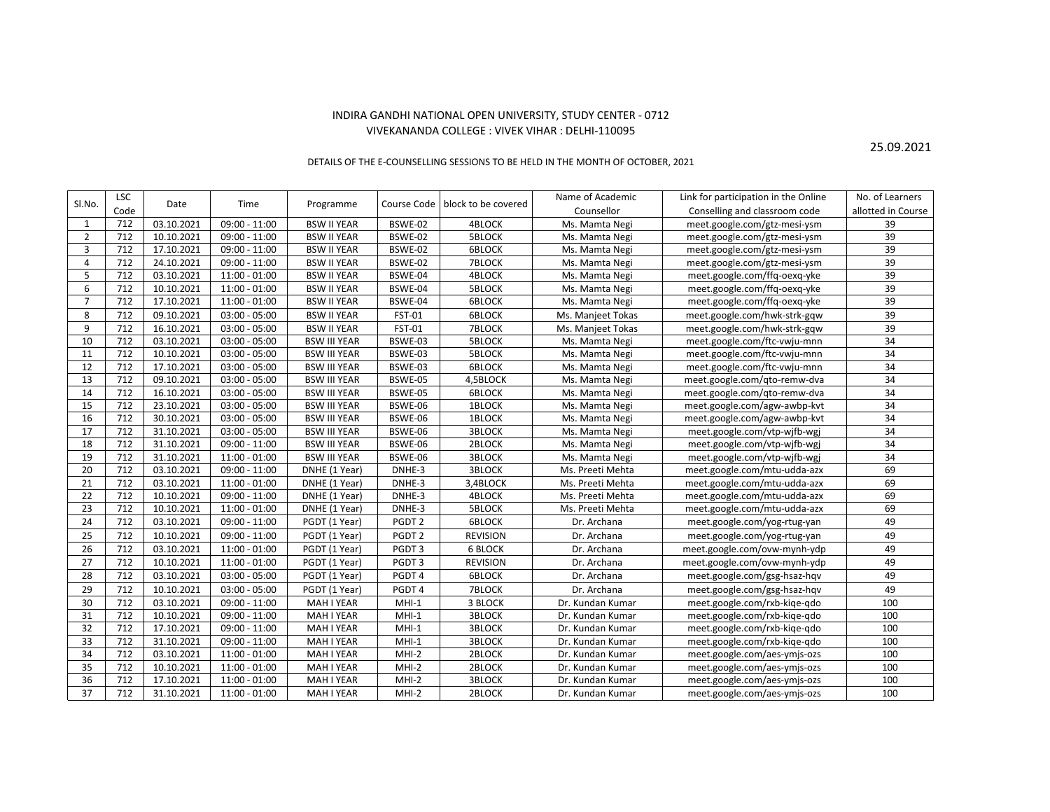## INDIRA GANDHI NATIONAL OPEN UNIVERSITY, STUDY CENTER - 0712 VIVEKANANDA COLLEGE : VIVEK VIHAR : DELHI-110095

25.09.2021

## DETAILS OF THE E-COUNSELLING SESSIONS TO BE HELD IN THE MONTH OF OCTOBER, 2021

| SI.No.         | <b>LSC</b> | Date       | Time            | Programme           | Course Code       | block to be covered | Name of Academic  | Link for participation in the Online | No. of Learners    |
|----------------|------------|------------|-----------------|---------------------|-------------------|---------------------|-------------------|--------------------------------------|--------------------|
|                | Code       |            |                 |                     |                   |                     | Counsellor        | Conselling and classroom code        | allotted in Course |
| 1              | 712        | 03.10.2021 | $09:00 - 11:00$ | <b>BSW II YEAR</b>  | BSWE-02           | <b>4BLOCK</b>       | Ms. Mamta Negi    | meet.google.com/gtz-mesi-ysm         | 39                 |
| $\overline{2}$ | 712        | 10.10.2021 | $09:00 - 11:00$ | <b>BSW II YEAR</b>  | BSWE-02           | 5BLOCK              | Ms. Mamta Negi    | meet.google.com/gtz-mesi-ysm         | 39                 |
| 3              | 712        | 17.10.2021 | $09:00 - 11:00$ | <b>BSW II YEAR</b>  | BSWE-02           | <b>6BLOCK</b>       | Ms. Mamta Negi    | meet.google.com/gtz-mesi-ysm         | 39                 |
| $\overline{4}$ | 712        | 24.10.2021 | $09:00 - 11:00$ | <b>BSW II YEAR</b>  | BSWE-02           | 7BLOCK              | Ms. Mamta Negi    | meet.google.com/gtz-mesi-ysm         | 39                 |
| 5              | 712        | 03.10.2021 | $11:00 - 01:00$ | <b>BSW II YEAR</b>  | BSWE-04           | 4BLOCK              | Ms. Mamta Negi    | meet.google.com/ffq-oexq-yke         | 39                 |
| 6              | 712        | 10.10.2021 | $11:00 - 01:00$ | <b>BSW II YEAR</b>  | BSWE-04           | 5BLOCK              | Ms. Mamta Negi    | meet.google.com/ffq-oexq-yke         | 39                 |
| $\overline{7}$ | 712        | 17.10.2021 | $11:00 - 01:00$ | <b>BSW II YEAR</b>  | BSWE-04           | <b>6BLOCK</b>       | Ms. Mamta Negi    | meet.google.com/ffg-oexg-yke         | 39                 |
| 8              | 712        | 09.10.2021 | $03:00 - 05:00$ | <b>BSW II YEAR</b>  | <b>FST-01</b>     | <b>6BLOCK</b>       | Ms. Manjeet Tokas | meet.google.com/hwk-strk-gqw         | 39                 |
| 9              | 712        | 16.10.2021 | $03:00 - 05:00$ | <b>BSW II YEAR</b>  | <b>FST-01</b>     | 7BLOCK              | Ms. Manjeet Tokas | meet.google.com/hwk-strk-gqw         | 39                 |
| 10             | 712        | 03.10.2021 | $03:00 - 05:00$ | <b>BSW III YEAR</b> | BSWE-03           | 5BLOCK              | Ms. Mamta Negi    | meet.google.com/ftc-vwju-mnn         | 34                 |
| 11             | 712        | 10.10.2021 | $03:00 - 05:00$ | <b>BSW III YEAR</b> | BSWE-03           | 5BLOCK              | Ms. Mamta Negi    | meet.google.com/ftc-vwju-mnn         | 34                 |
| 12             | 712        | 17.10.2021 | $03:00 - 05:00$ | <b>BSW III YEAR</b> | BSWE-03           | <b>6BLOCK</b>       | Ms. Mamta Negi    | meet.google.com/ftc-vwju-mnn         | 34                 |
| 13             | 712        | 09.10.2021 | $03:00 - 05:00$ | <b>BSW III YEAR</b> | BSWE-05           | 4,5BLOCK            | Ms. Mamta Negi    | meet.google.com/qto-remw-dva         | 34                 |
| 14             | 712        | 16.10.2021 | $03:00 - 05:00$ | <b>BSW III YEAR</b> | BSWE-05           | <b>6BLOCK</b>       | Ms. Mamta Negi    | meet.google.com/qto-remw-dva         | $\overline{34}$    |
| 15             | 712        | 23.10.2021 | $03:00 - 05:00$ | <b>BSW III YEAR</b> | BSWE-06           | 1BLOCK              | Ms. Mamta Negi    | meet.google.com/agw-awbp-kvt         | 34                 |
| 16             | 712        | 30.10.2021 | $03:00 - 05:00$ | <b>BSW III YEAR</b> | BSWE-06           | 1BLOCK              | Ms. Mamta Negi    | meet.google.com/agw-awbp-kvt         | 34                 |
| 17             | 712        | 31.10.2021 | $03:00 - 05:00$ | <b>BSW III YEAR</b> | BSWE-06           | <b>3BLOCK</b>       | Ms. Mamta Negi    | meet.google.com/vtp-wifb-wgi         | 34                 |
| 18             | 712        | 31.10.2021 | $09:00 - 11:00$ | <b>BSW III YEAR</b> | BSWE-06           | 2BLOCK              | Ms. Mamta Negi    | meet.google.com/vtp-wifb-wgi         | 34                 |
| 19             | 712        | 31.10.2021 | $11:00 - 01:00$ | <b>BSW III YEAR</b> | BSWE-06           | <b>3BLOCK</b>       | Ms. Mamta Negi    | meet.google.com/vtp-wifb-wgi         | 34                 |
| 20             | 712        | 03.10.2021 | $09:00 - 11:00$ | DNHE (1 Year)       | DNHE-3            | <b>3BLOCK</b>       | Ms. Preeti Mehta  | meet.google.com/mtu-udda-azx         | 69                 |
| 21             | 712        | 03.10.2021 | $11:00 - 01:00$ | DNHE (1 Year)       | DNHE-3            | 3,4BLOCK            | Ms. Preeti Mehta  | meet.google.com/mtu-udda-azx         | 69                 |
| 22             | 712        | 10.10.2021 | $09:00 - 11:00$ | DNHE (1 Year)       | DNHE-3            | 4BLOCK              | Ms. Preeti Mehta  | meet.google.com/mtu-udda-azx         | 69                 |
| 23             | 712        | 10.10.2021 | $11:00 - 01:00$ | DNHE (1 Year)       | DNHE-3            | 5BLOCK              | Ms. Preeti Mehta  | meet.google.com/mtu-udda-azx         | 69                 |
| 24             | 712        | 03.10.2021 | $09:00 - 11:00$ | PGDT (1 Year)       | PGDT <sub>2</sub> | <b>6BLOCK</b>       | Dr. Archana       | meet.google.com/yog-rtug-yan         | 49                 |
| 25             | 712        | 10.10.2021 | $09:00 - 11:00$ | PGDT (1 Year)       | PGDT <sub>2</sub> | <b>REVISION</b>     | Dr. Archana       | meet.google.com/yog-rtug-yan         | 49                 |
| 26             | 712        | 03.10.2021 | $11:00 - 01:00$ | PGDT (1 Year)       | PGDT3             | <b>6 BLOCK</b>      | Dr. Archana       | meet.google.com/ovw-mynh-ydp         | 49                 |
| 27             | 712        | 10.10.2021 | $11:00 - 01:00$ | PGDT (1 Year)       | PGDT3             | <b>REVISION</b>     | Dr. Archana       | meet.google.com/ovw-mynh-ydp         | 49                 |
| 28             | 712        | 03.10.2021 | $03:00 - 05:00$ | PGDT (1 Year)       | PGDT4             | <b>6BLOCK</b>       | Dr. Archana       | meet.google.com/gsg-hsaz-hqv         | 49                 |
| 29             | 712        | 10.10.2021 | $03:00 - 05:00$ | PGDT (1 Year)       | PGDT4             | <b>7BLOCK</b>       | Dr. Archana       | meet.google.com/gsg-hsaz-hqv         | 49                 |
| 30             | 712        | 03.10.2021 | $09:00 - 11:00$ | MAH I YEAR          | $MHI-1$           | 3 BLOCK             | Dr. Kundan Kumar  | meet.google.com/rxb-kiqe-qdo         | 100                |
| 31             | 712        | 10.10.2021 | $09:00 - 11:00$ | <b>MAH I YEAR</b>   | $MHI-1$           | <b>3BLOCK</b>       | Dr. Kundan Kumar  | meet.google.com/rxb-kige-gdo         | 100                |
| 32             | 712        | 17.10.2021 | $09:00 - 11:00$ | MAH I YEAR          | $MHI-1$           | <b>3BLOCK</b>       | Dr. Kundan Kumar  | meet.google.com/rxb-kiqe-qdo         | 100                |
| 33             | 712        | 31.10.2021 | $09:00 - 11:00$ | MAH I YEAR          | $MHI-1$           | <b>3BLOCK</b>       | Dr. Kundan Kumar  | meet.google.com/rxb-kiqe-qdo         | 100                |
| 34             | 712        | 03.10.2021 | $11:00 - 01:00$ | MAH I YEAR          | $MHI-2$           | 2BLOCK              | Dr. Kundan Kumar  | meet.google.com/aes-ymjs-ozs         | 100                |
| 35             | 712        | 10.10.2021 | $11:00 - 01:00$ | MAH I YEAR          | $MHI-2$           | 2BLOCK              | Dr. Kundan Kumar  | meet.google.com/aes-ymjs-ozs         | 100                |
| 36             | 712        | 17.10.2021 | $11:00 - 01:00$ | MAH I YEAR          | $MHI-2$           | <b>3BLOCK</b>       | Dr. Kundan Kumar  | meet.google.com/aes-ymjs-ozs         | 100                |
| 37             | 712        | 31.10.2021 | $11:00 - 01:00$ | MAH I YEAR          | $MHI-2$           | 2BLOCK              | Dr. Kundan Kumar  | meet.google.com/aes-ymjs-ozs         | 100                |
|                |            |            |                 |                     |                   |                     |                   |                                      |                    |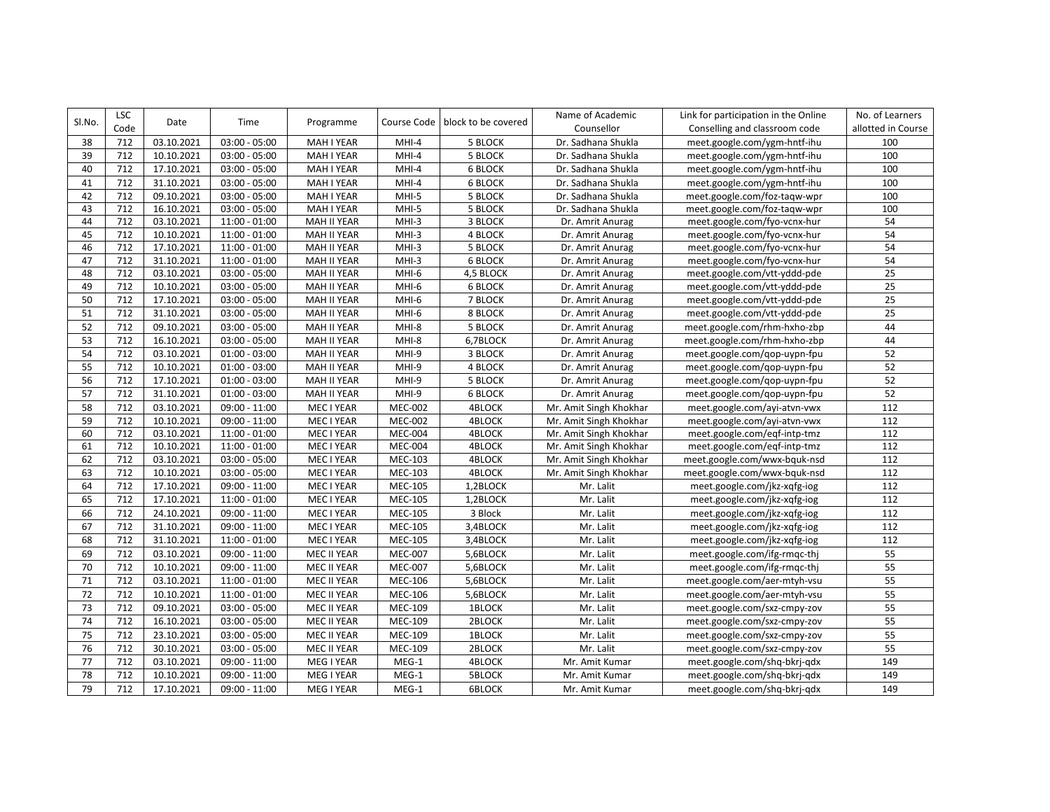| SI.No. | <b>LSC</b>      | Date       | Time            | Programme          |                | Course Code   block to be covered | Name of Academic       | Link for participation in the Online | No. of Learners    |
|--------|-----------------|------------|-----------------|--------------------|----------------|-----------------------------------|------------------------|--------------------------------------|--------------------|
|        | Code            |            |                 |                    |                |                                   | Counsellor             | Conselling and classroom code        | allotted in Course |
| 38     | 712             | 03.10.2021 | $03:00 - 05:00$ | MAH I YEAR         | $MHI-4$        | 5 BLOCK                           | Dr. Sadhana Shukla     | meet.google.com/ygm-hntf-ihu         | 100                |
| 39     | 712             | 10.10.2021 | $03:00 - 05:00$ | MAH I YEAR         | MHI-4          | 5 BLOCK                           | Dr. Sadhana Shukla     | meet.google.com/ygm-hntf-ihu         | 100                |
| 40     | 712             | 17.10.2021 | $03:00 - 05:00$ | MAH I YEAR         | MHI-4          | <b>6 BLOCK</b>                    | Dr. Sadhana Shukla     | meet.google.com/ygm-hntf-ihu         | 100                |
| 41     | 712             | 31.10.2021 | $03:00 - 05:00$ | MAH I YEAR         | MHI-4          | 6 BLOCK                           | Dr. Sadhana Shukla     | meet.google.com/ygm-hntf-ihu         | 100                |
| 42     | 712             | 09.10.2021 | $03:00 - 05:00$ | MAH I YEAR         | MHI-5          | 5 BLOCK                           | Dr. Sadhana Shukla     | meet.google.com/foz-taqw-wpr         | 100                |
| 43     | 712             | 16.10.2021 | $03:00 - 05:00$ | MAH I YEAR         | MHI-5          | 5 BLOCK                           | Dr. Sadhana Shukla     | meet.google.com/foz-taqw-wpr         | 100                |
| 44     | 712             | 03.10.2021 | $11:00 - 01:00$ | MAH II YEAR        | $MHI-3$        | 3 BLOCK                           | Dr. Amrit Anurag       | meet.google.com/fyo-vcnx-hur         | 54                 |
| 45     | 712             | 10.10.2021 | $11:00 - 01:00$ | <b>MAH II YEAR</b> | $MHI-3$        | <b>4 BLOCK</b>                    | Dr. Amrit Anurag       | meet.google.com/fyo-vcnx-hur         | 54                 |
| 46     | 712             | 17.10.2021 | $11:00 - 01:00$ | <b>MAH II YEAR</b> | $MHI-3$        | 5 BLOCK                           | Dr. Amrit Anurag       | meet.google.com/fyo-vcnx-hur         | 54                 |
| 47     | 712             | 31.10.2021 | $11:00 - 01:00$ | <b>MAH II YEAR</b> | $MHI-3$        | 6 BLOCK                           | Dr. Amrit Anurag       | meet.google.com/fyo-vcnx-hur         | 54                 |
| 48     | 712             | 03.10.2021 | $03:00 - 05:00$ | MAH II YEAR        | MHI-6          | 4,5 BLOCK                         | Dr. Amrit Anurag       | meet.google.com/vtt-yddd-pde         | 25                 |
| 49     | 712             | 10.10.2021 | $03:00 - 05:00$ | MAH II YEAR        | MHI-6          | 6 BLOCK                           | Dr. Amrit Anurag       | meet.google.com/vtt-yddd-pde         | $\overline{25}$    |
| 50     | 712             | 17.10.2021 | $03:00 - 05:00$ | MAH II YEAR        | MHI-6          | 7 BLOCK                           | Dr. Amrit Anurag       | meet.google.com/vtt-yddd-pde         | 25                 |
| 51     | 712             | 31.10.2021 | $03:00 - 05:00$ | <b>MAH II YEAR</b> | MHI-6          | 8 BLOCK                           | Dr. Amrit Anurag       | meet.google.com/vtt-yddd-pde         | 25                 |
| 52     | 712             | 09.10.2021 | $03:00 - 05:00$ | MAH II YEAR        | MHI-8          | 5 BLOCK                           | Dr. Amrit Anurag       | meet.google.com/rhm-hxho-zbp         | 44                 |
| 53     | 712             | 16.10.2021 | $03:00 - 05:00$ | MAH II YEAR        | MHI-8          | 6,7BLOCK                          | Dr. Amrit Anurag       | meet.google.com/rhm-hxho-zbp         | 44                 |
| 54     | 712             | 03.10.2021 | $01:00 - 03:00$ | MAH II YEAR        | MHI-9          | 3 BLOCK                           | Dr. Amrit Anurag       | meet.google.com/gop-uypn-fpu         | 52                 |
| 55     | 712             | 10.10.2021 | $01:00 - 03:00$ | <b>MAH II YEAR</b> | MHI-9          | 4 BLOCK                           | Dr. Amrit Anurag       | meet.google.com/gop-uypn-fpu         | 52                 |
| 56     | $\frac{1}{712}$ | 17.10.2021 | $01:00 - 03:00$ | <b>MAH II YEAR</b> | MHI-9          | 5 BLOCK                           | Dr. Amrit Anurag       | meet.google.com/gop-uypn-fpu         | 52                 |
| 57     | 712             | 31.10.2021 | $01:00 - 03:00$ | MAH II YEAR        | MHI-9          | 6 BLOCK                           | Dr. Amrit Anurag       | meet.google.com/qop-uypn-fpu         | 52                 |
| 58     | 712             | 03.10.2021 | 09:00 - 11:00   | MEC I YEAR         | <b>MEC-002</b> | <b>4BLOCK</b>                     | Mr. Amit Singh Khokhar | meet.google.com/ayi-atvn-vwx         | 112                |
| 59     | 712             | 10.10.2021 | 09:00 - 11:00   | MEC I YEAR         | <b>MEC-002</b> | 4BLOCK                            | Mr. Amit Singh Khokhar | meet.google.com/ayi-atvn-vwx         | 112                |
| 60     | 712             | 03.10.2021 | $11:00 - 01:00$ | MEC I YEAR         | <b>MEC-004</b> | 4BLOCK                            | Mr. Amit Singh Khokhar | meet.google.com/eqf-intp-tmz         | 112                |
| 61     | 712             | 10.10.2021 | $11:00 - 01:00$ | MEC I YEAR         | <b>MEC-004</b> | 4BLOCK                            | Mr. Amit Singh Khokhar | meet.google.com/eqf-intp-tmz         | 112                |
| 62     | 712             | 03.10.2021 | $03:00 - 05:00$ | MEC I YEAR         | <b>MEC-103</b> | <b>4BLOCK</b>                     | Mr. Amit Singh Khokhar | meet.google.com/wwx-bquk-nsd         | $\frac{112}{2}$    |
| 63     | 712             | 10.10.2021 | $03:00 - 05:00$ | MEC I YEAR         | <b>MEC-103</b> | 4BLOCK                            | Mr. Amit Singh Khokhar | meet.google.com/wwx-bquk-nsd         | 112                |
| 64     | 712             | 17.10.2021 | $09:00 - 11:00$ | MEC I YEAR         | <b>MEC-105</b> | 1,2BLOCK                          | Mr. Lalit              | meet.google.com/jkz-xqfg-iog         | 112                |
| 65     | 712             | 17.10.2021 | $11:00 - 01:00$ | MEC I YEAR         | <b>MEC-105</b> | 1,2BLOCK                          | Mr. Lalit              | meet.google.com/jkz-xqfg-iog         | 112                |
| 66     | 712             | 24.10.2021 | $09:00 - 11:00$ | MEC I YEAR         | <b>MEC-105</b> | 3 Block                           | Mr. Lalit              | meet.google.com/jkz-xqfg-iog         | 112                |
| 67     | 712             | 31.10.2021 | $09:00 - 11:00$ | MEC I YEAR         | <b>MEC-105</b> | 3,4BLOCK                          | Mr. Lalit              | meet.google.com/jkz-xqfg-iog         | 112                |
| 68     | 712             | 31.10.2021 | $11:00 - 01:00$ | MEC I YEAR         | <b>MEC-105</b> | 3,4BLOCK                          | Mr. Lalit              | meet.google.com/jkz-xqfg-iog         | 112                |
| 69     | 712             | 03.10.2021 | 09:00 - 11:00   | MEC II YEAR        | <b>MEC-007</b> | 5,6BLOCK                          | Mr. Lalit              | meet.google.com/ifg-rmqc-thj         | 55                 |
| 70     | 712             | 10.10.2021 | $09:00 - 11:00$ | MEC II YEAR        | <b>MEC-007</b> | 5,6BLOCK                          | Mr. Lalit              | meet.google.com/ifg-rmqc-thj         | 55                 |
| 71     | 712             | 03.10.2021 | $11:00 - 01:00$ | MEC II YEAR        | <b>MEC-106</b> | 5,6BLOCK                          | Mr. Lalit              | meet.google.com/aer-mtyh-vsu         | 55                 |
| 72     | 712             | 10.10.2021 | $11:00 - 01:00$ | MEC II YEAR        | MEC-106        | 5,6BLOCK                          | Mr. Lalit              | meet.google.com/aer-mtyh-vsu         | 55                 |
| 73     | 712             | 09.10.2021 | $03:00 - 05:00$ | MEC II YEAR        | MEC-109        | 1BLOCK                            | Mr. Lalit              | meet.google.com/sxz-cmpy-zov         | 55                 |
| 74     | 712             | 16.10.2021 | $03:00 - 05:00$ | MEC II YEAR        | <b>MEC-109</b> | 2BLOCK                            | Mr. Lalit              | meet.google.com/sxz-cmpy-zov         | 55                 |
| 75     | 712             | 23.10.2021 | $03:00 - 05:00$ | MEC II YEAR        | <b>MEC-109</b> | 1BLOCK                            | Mr. Lalit              | meet.google.com/sxz-cmpy-zov         | 55                 |
| 76     | 712             | 30.10.2021 | $03:00 - 05:00$ | MEC II YEAR        | <b>MEC-109</b> | 2BLOCK                            | Mr. Lalit              | meet.google.com/sxz-cmpy-zov         | 55                 |
| 77     | 712             | 03.10.2021 | 09:00 - 11:00   | MEG I YEAR         | MEG-1          | 4BLOCK                            | Mr. Amit Kumar         | meet.google.com/shq-bkrj-qdx         | 149                |
| 78     | 712             | 10.10.2021 | 09:00 - 11:00   | MEG I YEAR         | MEG-1          | <b>5BLOCK</b>                     | Mr. Amit Kumar         | meet.google.com/shq-bkrj-qdx         | 149                |
| 79     | 712             | 17.10.2021 | 09:00 - 11:00   | MEG I YEAR         | MEG-1          | <b>6BLOCK</b>                     | Mr. Amit Kumar         | meet.google.com/shq-bkrj-qdx         | 149                |
|        |                 |            |                 |                    |                |                                   |                        |                                      |                    |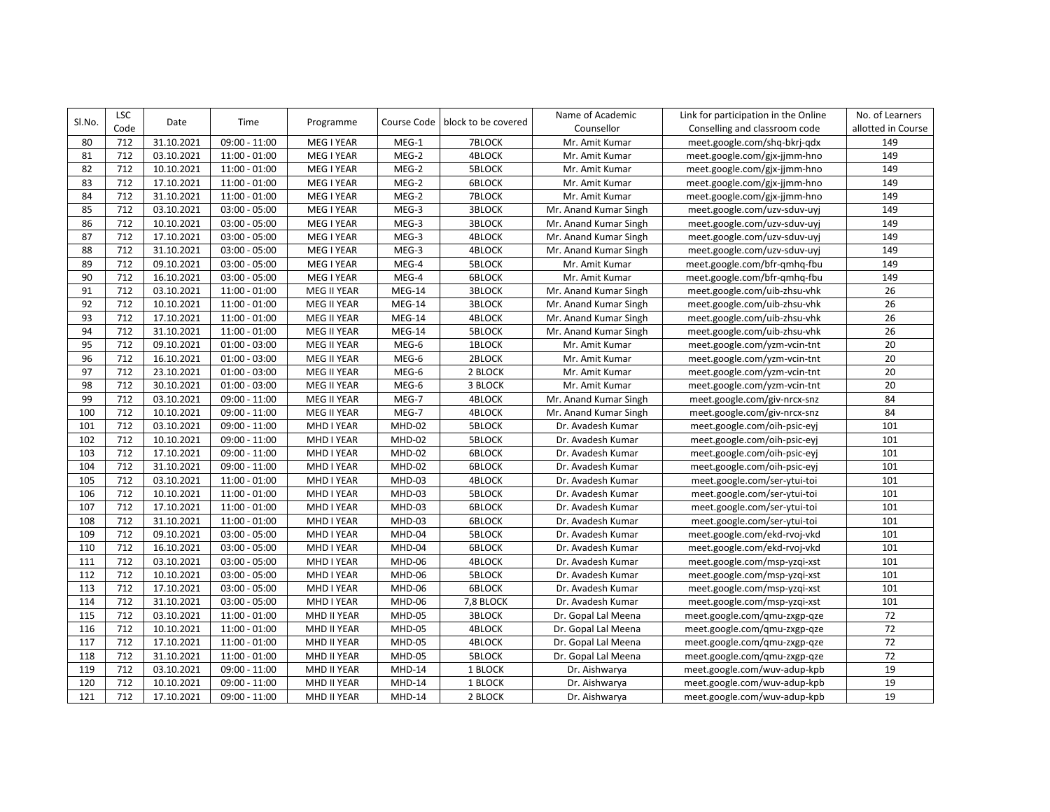| Sl.No. | <b>LSC</b> | Date       | Time            | Programme   | Course Code   | block to be covered | Name of Academic      | Link for participation in the Online | No. of Learners    |
|--------|------------|------------|-----------------|-------------|---------------|---------------------|-----------------------|--------------------------------------|--------------------|
|        | Code       |            |                 |             |               |                     | Counsellor            | Conselling and classroom code        | allotted in Course |
| 80     | 712        | 31.10.2021 | 09:00 - 11:00   | MEG I YEAR  | MEG-1         | 7BLOCK              | Mr. Amit Kumar        | meet.google.com/shq-bkrj-qdx         | 149                |
| 81     | 712        | 03.10.2021 | $11:00 - 01:00$ | MEG I YEAR  | MEG-2         | 4BLOCK              | Mr. Amit Kumar        | meet.google.com/gjx-jjmm-hno         | 149                |
| 82     | 712        | 10.10.2021 | $11:00 - 01:00$ | MEG I YEAR  | MEG-2         | 5BLOCK              | Mr. Amit Kumar        | meet.google.com/gjx-jjmm-hno         | 149                |
| 83     | 712        | 17.10.2021 | $11:00 - 01:00$ | MEG I YEAR  | $MEG-2$       | 6BLOCK              | Mr. Amit Kumar        | meet.google.com/gjx-jjmm-hno         | 149                |
| 84     | 712        | 31.10.2021 | $11:00 - 01:00$ | MEG I YEAR  | MEG-2         | 7BLOCK              | Mr. Amit Kumar        | meet.google.com/gjx-jjmm-hno         | 149                |
| 85     | 712        | 03.10.2021 | $03:00 - 05:00$ | MEG I YEAR  | MEG-3         | <b>3BLOCK</b>       | Mr. Anand Kumar Singh | meet.google.com/uzv-sduv-uyj         | 149                |
| 86     | 712        | 10.10.2021 | $03:00 - 05:00$ | MEG I YEAR  | MEG-3         | 3BLOCK              | Mr. Anand Kumar Singh | meet.google.com/uzv-sduv-uyj         | 149                |
| 87     | 712        | 17.10.2021 | $03:00 - 05:00$ | MEG I YEAR  | MEG-3         | 4BLOCK              | Mr. Anand Kumar Singh | meet.google.com/uzv-sduv-uyj         | 149                |
| 88     | 712        | 31.10.2021 | $03:00 - 05:00$ | MEG I YEAR  | MEG-3         | 4BLOCK              | Mr. Anand Kumar Singh | meet.google.com/uzv-sduv-uyj         | 149                |
| 89     | 712        | 09.10.2021 | $03:00 - 05:00$ | MEG I YEAR  | MEG-4         | <b>5BLOCK</b>       | Mr. Amit Kumar        | meet.google.com/bfr-qmhq-fbu         | 149                |
| 90     | 712        | 16.10.2021 | $03:00 - 05:00$ | MEG I YEAR  | MEG-4         | 6BLOCK              | Mr. Amit Kumar        | meet.google.com/bfr-qmhq-fbu         | 149                |
| 91     | 712        | 03.10.2021 | $11:00 - 01:00$ | MEG II YEAR | MEG-14        | <b>3BLOCK</b>       | Mr. Anand Kumar Singh | meet.google.com/uib-zhsu-vhk         | 26                 |
| 92     | 712        | 10.10.2021 | $11:00 - 01:00$ | MEG II YEAR | MEG-14        | <b>3BLOCK</b>       | Mr. Anand Kumar Singh | meet.google.com/uib-zhsu-vhk         | 26                 |
| 93     | 712        | 17.10.2021 | $11:00 - 01:00$ | MEG II YEAR | MEG-14        | 4BLOCK              | Mr. Anand Kumar Singh | meet.google.com/uib-zhsu-vhk         | 26                 |
| 94     | 712        | 31.10.2021 | $11:00 - 01:00$ | MEG II YEAR | <b>MEG-14</b> | 5BLOCK              | Mr. Anand Kumar Singh | meet.google.com/uib-zhsu-vhk         | 26                 |
| 95     | 712        | 09.10.2021 | $01:00 - 03:00$ | MEG II YEAR | MEG-6         | 1BLOCK              | Mr. Amit Kumar        | meet.google.com/yzm-vcin-tnt         | 20                 |
| 96     | 712        | 16.10.2021 | $01:00 - 03:00$ | MEG II YEAR | MEG-6         | 2BLOCK              | Mr. Amit Kumar        | meet.google.com/yzm-vcin-tnt         | 20                 |
| 97     | 712        | 23.10.2021 | $01:00 - 03:00$ | MEG II YEAR | MEG-6         | 2 BLOCK             | Mr. Amit Kumar        | meet.google.com/yzm-vcin-tnt         | 20                 |
| 98     | 712        | 30.10.2021 | $01:00 - 03:00$ | MEG II YEAR | $MEG-6$       | 3 BLOCK             | Mr. Amit Kumar        | meet.google.com/yzm-vcin-tnt         | 20                 |
| 99     | 712        | 03.10.2021 | $09:00 - 11:00$ | MEG II YEAR | MEG-7         | 4BLOCK              | Mr. Anand Kumar Singh | meet.google.com/giv-nrcx-snz         | 84                 |
| 100    | 712        | 10.10.2021 | $09:00 - 11:00$ | MEG II YEAR | MEG-7         | 4BLOCK              | Mr. Anand Kumar Singh | meet.google.com/giv-nrcx-snz         | 84                 |
| 101    | 712        | 03.10.2021 | $09:00 - 11:00$ | MHD I YEAR  | <b>MHD-02</b> | 5BLOCK              | Dr. Avadesh Kumar     | meet.google.com/oih-psic-eyj         | 101                |
| 102    | 712        | 10.10.2021 | 09:00 - 11:00   | MHD I YEAR  | MHD-02        | <b>5BLOCK</b>       | Dr. Avadesh Kumar     | meet.google.com/oih-psic-eyj         | 101                |
| 103    | 712        | 17.10.2021 | $09:00 - 11:00$ | MHD I YEAR  | MHD-02        | <b>6BLOCK</b>       | Dr. Avadesh Kumar     | meet.google.com/oih-psic-eyj         | 101                |
| 104    | 712        | 31.10.2021 | 09:00 - 11:00   | MHD I YEAR  | MHD-02        | <b>6BLOCK</b>       | Dr. Avadesh Kumar     | meet.google.com/oih-psic-eyj         | 101                |
| 105    | 712        | 03.10.2021 | $11:00 - 01:00$ | MHD I YEAR  | MHD-03        | 4BLOCK              | Dr. Avadesh Kumar     | meet.google.com/ser-ytui-toi         | 101                |
| 106    | 712        | 10.10.2021 | $11:00 - 01:00$ | MHD I YEAR  | MHD-03        | 5BLOCK              | Dr. Avadesh Kumar     | meet.google.com/ser-ytui-toi         | 101                |
| 107    | 712        | 17.10.2021 | $11:00 - 01:00$ | MHD I YEAR  | MHD-03        | 6BLOCK              | Dr. Avadesh Kumar     | meet.google.com/ser-ytui-toi         | 101                |
| 108    | 712        | 31.10.2021 | $11:00 - 01:00$ | MHD I YEAR  | MHD-03        | <b>6BLOCK</b>       | Dr. Avadesh Kumar     | meet.google.com/ser-ytui-toi         | 101                |
| 109    | 712        | 09.10.2021 | $03:00 - 05:00$ | MHD I YEAR  | MHD-04        | <b>5BLOCK</b>       | Dr. Avadesh Kumar     | meet.google.com/ekd-rvoj-vkd         | 101                |
| 110    | 712        | 16.10.2021 | $03:00 - 05:00$ | MHD I YEAR  | MHD-04        | 6BLOCK              | Dr. Avadesh Kumar     | meet.google.com/ekd-rvoj-vkd         | 101                |
| 111    | 712        | 03.10.2021 | $03:00 - 05:00$ | MHD I YEAR  | MHD-06        | 4BLOCK              | Dr. Avadesh Kumar     | meet.google.com/msp-yzqi-xst         | 101                |
| 112    | 712        | 10.10.2021 | $03:00 - 05:00$ | MHD I YEAR  | MHD-06        | <b>5BLOCK</b>       | Dr. Avadesh Kumar     | meet.google.com/msp-yzqi-xst         | 101                |
| 113    | 712        | 17.10.2021 | $03:00 - 05:00$ | MHD I YEAR  | MHD-06        | 6BLOCK              | Dr. Avadesh Kumar     | meet.google.com/msp-yzqi-xst         | 101                |
| 114    | 712        | 31.10.2021 | $03:00 - 05:00$ | MHD I YEAR  | MHD-06        | 7,8 BLOCK           | Dr. Avadesh Kumar     | meet.google.com/msp-yzqi-xst         | 101                |
| 115    | 712        | 03.10.2021 | $11:00 - 01:00$ | MHD II YEAR | <b>MHD-05</b> | <b>3BLOCK</b>       | Dr. Gopal Lal Meena   | meet.google.com/gmu-zxgp-qze         | 72                 |
| 116    | 712        | 10.10.2021 | $11:00 - 01:00$ | MHD II YEAR | <b>MHD-05</b> | 4BLOCK              | Dr. Gopal Lal Meena   | meet.google.com/qmu-zxgp-qze         | $\overline{72}$    |
| 117    | 712        | 17.10.2021 | $11:00 - 01:00$ | MHD II YEAR | <b>MHD-05</b> | 4BLOCK              | Dr. Gopal Lal Meena   | meet.google.com/qmu-zxgp-qze         | 72                 |
| 118    | 712        | 31.10.2021 | $11:00 - 01:00$ | MHD II YEAR | MHD-05        | 5BLOCK              | Dr. Gopal Lal Meena   | meet.google.com/qmu-zxgp-qze         | 72                 |
| 119    | 712        | 03.10.2021 | 09:00 - 11:00   | MHD II YEAR | <b>MHD-14</b> | 1 BLOCK             | Dr. Aishwarya         | meet.google.com/wuv-adup-kpb         | 19                 |
| 120    | 712        | 10.10.2021 | $09:00 - 11:00$ | MHD II YEAR | MHD-14        | 1 BLOCK             | Dr. Aishwarya         | meet.google.com/wuv-adup-kpb         | 19                 |
| 121    | 712        | 17.10.2021 | $09:00 - 11:00$ | MHD II YEAR | MHD-14        | 2 BLOCK             | Dr. Aishwarya         | meet.google.com/wuv-adup-kpb         | 19                 |
|        |            |            |                 |             |               |                     |                       |                                      |                    |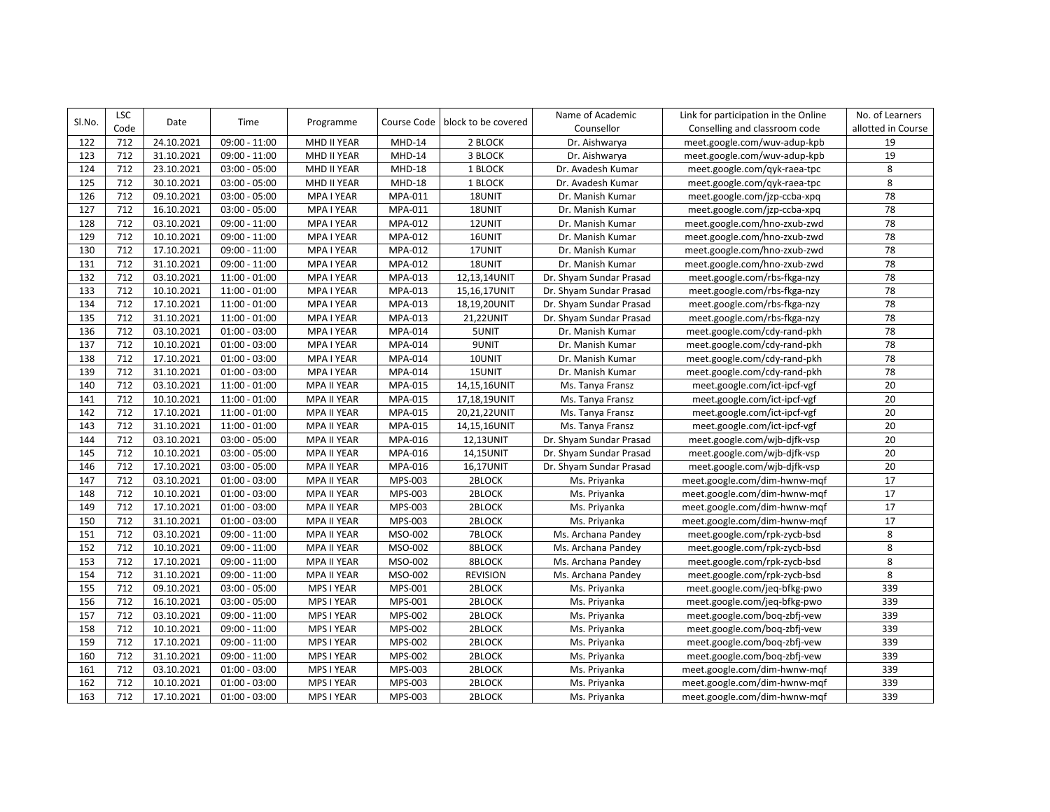| SI.No. | <b>LSC</b> | Date       | Time            | Programme          | Course Code | block to be covered | Name of Academic        | Link for participation in the Online | No. of Learners    |
|--------|------------|------------|-----------------|--------------------|-------------|---------------------|-------------------------|--------------------------------------|--------------------|
|        | Code       |            |                 |                    |             |                     | Counsellor              | Conselling and classroom code        | allotted in Course |
| 122    | 712        | 24.10.2021 | 09:00 - 11:00   | MHD II YEAR        | MHD-14      | 2 BLOCK             | Dr. Aishwarya           | meet.google.com/wuv-adup-kpb         | 19                 |
| 123    | 712        | 31.10.2021 | $09:00 - 11:00$ | MHD II YEAR        | MHD-14      | 3 BLOCK             | Dr. Aishwarya           | meet.google.com/wuv-adup-kpb         | 19                 |
| 124    | 712        | 23.10.2021 | $03:00 - 05:00$ | MHD II YEAR        | $MHD-18$    | 1 BLOCK             | Dr. Avadesh Kumar       | meet.google.com/qyk-raea-tpc         | 8                  |
| 125    | 712        | 30.10.2021 | $03:00 - 05:00$ | MHD II YEAR        | $MHD-18$    | 1 BLOCK             | Dr. Avadesh Kumar       | meet.google.com/qyk-raea-tpc         | 8                  |
| 126    | 712        | 09.10.2021 | $03:00 - 05:00$ | MPA I YEAR         | MPA-011     | 18UNIT              | Dr. Manish Kumar        | meet.google.com/jzp-ccba-xpq         | 78                 |
| 127    | 712        | 16.10.2021 | $03:00 - 05:00$ | MPA I YEAR         | MPA-011     | 18UNIT              | Dr. Manish Kumar        | meet.google.com/jzp-ccba-xpq         | 78                 |
| 128    | 712        | 03.10.2021 | $09:00 - 11:00$ | MPA I YEAR         | MPA-012     | 12UNIT              | Dr. Manish Kumar        | meet.google.com/hno-zxub-zwd         | $\overline{78}$    |
| 129    | 712        | 10.10.2021 | 09:00 - 11:00   | MPA I YEAR         | MPA-012     | 16UNIT              | Dr. Manish Kumar        | meet.google.com/hno-zxub-zwd         | 78                 |
| 130    | 712        | 17.10.2021 | 09:00 - 11:00   | MPA I YEAR         | MPA-012     | 17UNIT              | Dr. Manish Kumar        | meet.google.com/hno-zxub-zwd         | 78                 |
| 131    | 712        | 31.10.2021 | 09:00 - 11:00   | MPA I YEAR         | MPA-012     | 18UNIT              | Dr. Manish Kumar        | meet.google.com/hno-zxub-zwd         | 78                 |
| 132    | 712        | 03.10.2021 | $11:00 - 01:00$ | MPA I YEAR         | MPA-013     | 12,13,14UNIT        | Dr. Shyam Sundar Prasad | meet.google.com/rbs-fkga-nzy         | 78                 |
| 133    | 712        | 10.10.2021 | $11:00 - 01:00$ | MPA I YEAR         | MPA-013     | 15,16,17UNIT        | Dr. Shyam Sundar Prasad | meet.google.com/rbs-fkga-nzy         | 78                 |
| 134    | 712        | 17.10.2021 | $11:00 - 01:00$ | MPA I YEAR         | MPA-013     | 18,19,20UNIT        | Dr. Shyam Sundar Prasad | meet.google.com/rbs-fkga-nzy         | 78                 |
| 135    | 712        | 31.10.2021 | $11:00 - 01:00$ | MPA I YEAR         | MPA-013     | 21,22UNIT           | Dr. Shyam Sundar Prasad | meet.google.com/rbs-fkga-nzy         | 78                 |
| 136    | 712        | 03.10.2021 | $01:00 - 03:00$ | MPA I YEAR         | MPA-014     | 5UNIT               | Dr. Manish Kumar        | meet.google.com/cdy-rand-pkh         | 78                 |
| 137    | 712        | 10.10.2021 | $01:00 - 03:00$ | MPA I YEAR         | MPA-014     | 9UNIT               | Dr. Manish Kumar        | meet.google.com/cdy-rand-pkh         | 78                 |
| 138    | 712        | 17.10.2021 | $01:00 - 03:00$ | MPA I YEAR         | MPA-014     | 10UNIT              | Dr. Manish Kumar        | meet.google.com/cdy-rand-pkh         | $\overline{78}$    |
| 139    | 712        | 31.10.2021 | $01:00 - 03:00$ | MPA I YEAR         | MPA-014     | 15UNIT              | Dr. Manish Kumar        | meet.google.com/cdy-rand-pkh         | 78                 |
| 140    | 712        | 03.10.2021 | $11:00 - 01:00$ | MPA II YEAR        | MPA-015     | 14,15,16UNIT        | Ms. Tanya Fransz        | meet.google.com/ict-ipcf-vgf         | 20                 |
| 141    | 712        | 10.10.2021 | $11:00 - 01:00$ | MPA II YEAR        | MPA-015     | 17,18,19UNIT        | Ms. Tanya Fransz        | meet.google.com/ict-ipcf-vgf         | 20                 |
| 142    | 712        | 17.10.2021 | $11:00 - 01:00$ | <b>MPA II YEAR</b> | MPA-015     | 20,21,22UNIT        | Ms. Tanya Fransz        | meet.google.com/ict-ipcf-vgf         | 20                 |
| 143    | 712        | 31.10.2021 | $11:00 - 01:00$ | <b>MPA II YEAR</b> | MPA-015     | 14,15,16UNIT        | Ms. Tanya Fransz        | meet.google.com/ict-ipcf-vgf         | $\overline{20}$    |
| 144    | 712        | 03.10.2021 | $03:00 - 05:00$ | MPA II YEAR        | MPA-016     | 12,13UNIT           | Dr. Shyam Sundar Prasad | meet.google.com/wjb-djfk-vsp         | 20                 |
| 145    | 712        | 10.10.2021 | $03:00 - 05:00$ | MPA II YEAR        | MPA-016     | 14,15UNIT           | Dr. Shyam Sundar Prasad | meet.google.com/wjb-djfk-vsp         | 20                 |
| 146    | 712        | 17.10.2021 | $03:00 - 05:00$ | MPA II YEAR        | MPA-016     | 16,17UNIT           | Dr. Shyam Sundar Prasad | meet.google.com/wjb-djfk-vsp         | 20                 |
| 147    | 712        | 03.10.2021 | $01:00 - 03:00$ | <b>MPA II YEAR</b> | MPS-003     | 2BLOCK              | Ms. Priyanka            | meet.google.com/dim-hwnw-mqf         | 17                 |
| 148    | 712        | 10.10.2021 | $01:00 - 03:00$ | <b>MPA II YEAR</b> | MPS-003     | 2BLOCK              | Ms. Priyanka            | meet.google.com/dim-hwnw-mqf         | 17                 |
| 149    | 712        | 17.10.2021 | $01:00 - 03:00$ | MPA II YEAR        | MPS-003     | 2BLOCK              | Ms. Priyanka            | meet.google.com/dim-hwnw-mqf         | $17\,$             |
| 150    | 712        | 31.10.2021 | $01:00 - 03:00$ | <b>MPA II YEAR</b> | MPS-003     | 2BLOCK              | Ms. Priyanka            | meet.google.com/dim-hwnw-mqf         | 17                 |
| 151    | 712        | 03.10.2021 | 09:00 - 11:00   | MPA II YEAR        | MSO-002     | 7BLOCK              | Ms. Archana Pandey      | meet.google.com/rpk-zycb-bsd         | 8                  |
| 152    | 712        | 10.10.2021 | 09:00 - 11:00   | MPA II YEAR        | MSO-002     | 8BLOCK              | Ms. Archana Pandey      | meet.google.com/rpk-zycb-bsd         | 8                  |
| 153    | 712        | 17.10.2021 | $09:00 - 11:00$ | MPA II YEAR        | MSO-002     | 8BLOCK              | Ms. Archana Pandey      | meet.google.com/rpk-zycb-bsd         | 8                  |
| 154    | 712        | 31.10.2021 | $09:00 - 11:00$ | MPA II YEAR        | MSO-002     | <b>REVISION</b>     | Ms. Archana Pandey      | meet.google.com/rpk-zycb-bsd         | 8                  |
| 155    | 712        | 09.10.2021 | $03:00 - 05:00$ | MPS I YEAR         | MPS-001     | 2BLOCK              | Ms. Priyanka            | meet.google.com/jeq-bfkg-pwo         | 339                |
| 156    | 712        | 16.10.2021 | $03:00 - 05:00$ | MPS I YEAR         | MPS-001     | 2BLOCK              | Ms. Priyanka            | meet.google.com/jeq-bfkg-pwo         | 339                |
| 157    | 712        | 03.10.2021 | $09:00 - 11:00$ | MPS I YEAR         | MPS-002     | 2BLOCK              | Ms. Priyanka            | meet.google.com/boq-zbfj-vew         | 339                |
| 158    | 712        | 10.10.2021 | 09:00 - 11:00   | MPS I YEAR         | MPS-002     | 2BLOCK              | Ms. Priyanka            | meet.google.com/boq-zbfj-vew         | 339                |
| 159    | 712        | 17.10.2021 | 09:00 - 11:00   | MPS I YEAR         | MPS-002     | 2BLOCK              | Ms. Priyanka            | meet.google.com/boq-zbfj-vew         | 339                |
| 160    | 712        | 31.10.2021 | 09:00 - 11:00   | MPS I YEAR         | MPS-002     | 2BLOCK              | Ms. Priyanka            | meet.google.com/boq-zbfj-vew         | 339                |
| 161    | 712        | 03.10.2021 | $01:00 - 03:00$ | MPS I YEAR         | MPS-003     | 2BLOCK              | Ms. Priyanka            | meet.google.com/dim-hwnw-mqf         | 339                |
| 162    | 712        | 10.10.2021 | $01:00 - 03:00$ | MPS I YEAR         | MPS-003     | 2BLOCK              | Ms. Priyanka            | meet.google.com/dim-hwnw-mqf         | 339                |
| 163    | 712        | 17.10.2021 | $01:00 - 03:00$ | MPS I YEAR         | MPS-003     | 2BLOCK              | Ms. Priyanka            | meet.google.com/dim-hwnw-mgf         | 339                |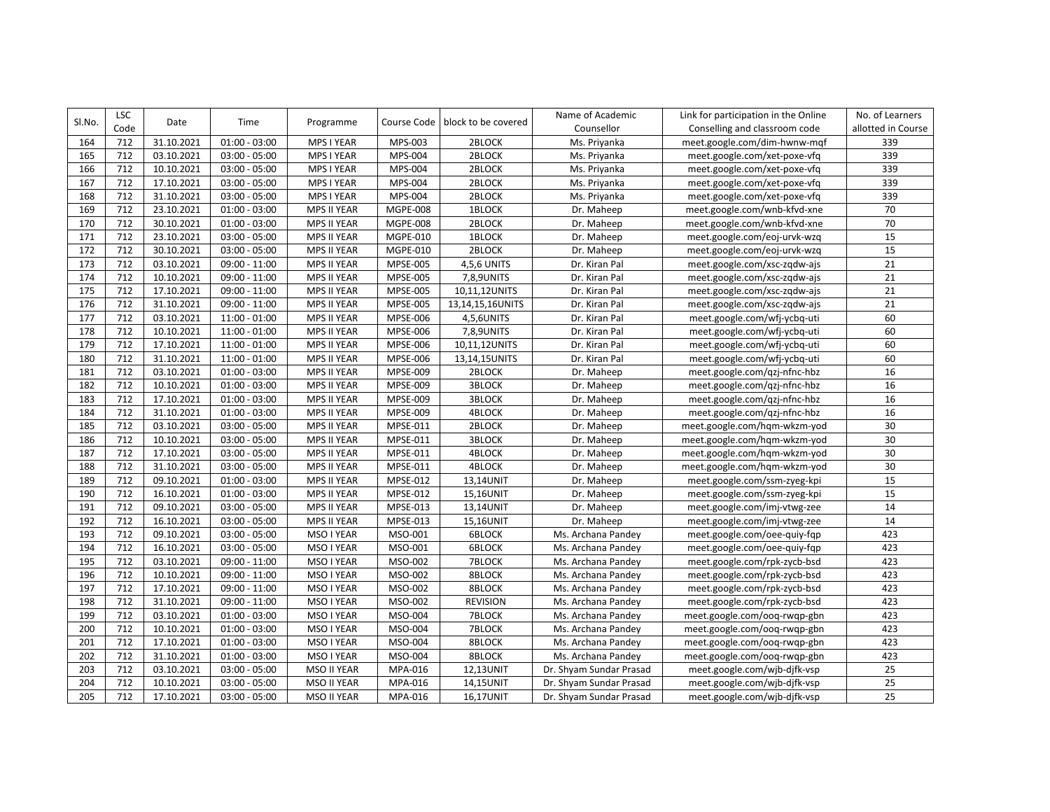| Sl.No. | <b>LSC</b> | Date       | Time            | Programme          | Course Code     | block to be covered | Name of Academic        | Link for participation in the Online | No. of Learners    |
|--------|------------|------------|-----------------|--------------------|-----------------|---------------------|-------------------------|--------------------------------------|--------------------|
|        | Code       |            |                 |                    |                 |                     | Counsellor              | Conselling and classroom code        | allotted in Course |
| 164    | 712        | 31.10.2021 | $01:00 - 03:00$ | MPS I YEAR         | MPS-003         | 2BLOCK              | Ms. Priyanka            | meet.google.com/dim-hwnw-mqf         | 339                |
| 165    | 712        | 03.10.2021 | $03:00 - 05:00$ | MPS I YEAR         | MPS-004         | 2BLOCK              | Ms. Priyanka            | meet.google.com/xet-poxe-vfq         | 339                |
| 166    | 712        | 10.10.2021 | $03:00 - 05:00$ | MPS I YEAR         | MPS-004         | 2BLOCK              | Ms. Priyanka            | meet.google.com/xet-poxe-vfq         | 339                |
| 167    | 712        | 17.10.2021 | $03:00 - 05:00$ | MPS I YEAR         | MPS-004         | 2BLOCK              | Ms. Priyanka            | meet.google.com/xet-poxe-vfq         | 339                |
| 168    | 712        | 31.10.2021 | $03:00 - 05:00$ | MPS I YEAR         | MPS-004         | 2BLOCK              | Ms. Priyanka            | meet.google.com/xet-poxe-vfq         | 339                |
| 169    | 712        | 23.10.2021 | $01:00 - 03:00$ | MPS II YEAR        | <b>MGPE-008</b> | 1BLOCK              | Dr. Maheep              | meet.google.com/wnb-kfvd-xne         | 70                 |
| 170    | 712        | 30.10.2021 | $01:00 - 03:00$ | <b>MPS II YEAR</b> | MGPE-008        | 2BLOCK              | Dr. Maheep              | meet.google.com/wnb-kfvd-xne         | 70                 |
| 171    | 712        | 23.10.2021 | $03:00 - 05:00$ | <b>MPS II YEAR</b> | MGPE-010        | <b>1BLOCK</b>       | Dr. Maheep              | meet.google.com/eoj-urvk-wzg         | 15                 |
| 172    | 712        | 30.10.2021 | $03:00 - 05:00$ | MPS II YEAR        | MGPE-010        | 2BLOCK              | Dr. Maheep              | meet.google.com/eoj-urvk-wzq         | 15                 |
| 173    | 712        | 03.10.2021 | 09:00 - 11:00   | <b>MPS II YEAR</b> | <b>MPSE-005</b> | 4,5,6 UNITS         | Dr. Kiran Pal           | meet.google.com/xsc-zqdw-ajs         | 21                 |
| 174    | 712        | 10.10.2021 | 09:00 - 11:00   | MPS II YEAR        | <b>MPSE-005</b> | 7,8,9UNITS          | Dr. Kiran Pal           | meet.google.com/xsc-zqdw-ajs         | 21                 |
| 175    | 712        | 17.10.2021 | 09:00 - 11:00   | MPS II YEAR        | <b>MPSE-005</b> | 10,11,12UNITS       | Dr. Kiran Pal           | meet.google.com/xsc-zqdw-ajs         | 21                 |
| 176    | 712        | 31.10.2021 | $09:00 - 11:00$ | <b>MPS II YEAR</b> | <b>MPSE-005</b> | 13,14,15,16UNITS    | Dr. Kiran Pal           | meet.google.com/xsc-zqdw-ajs         | 21                 |
| 177    | 712        | 03.10.2021 | $11:00 - 01:00$ | <b>MPS II YEAR</b> | <b>MPSE-006</b> | 4,5,6UNITS          | Dr. Kiran Pal           | meet.google.com/wfj-ycbq-uti         | 60                 |
| 178    | 712        | 10.10.2021 | $11:00 - 01:00$ | MPS II YEAR        | MPSE-006        | 7,8,9UNITS          | Dr. Kiran Pal           | meet.google.com/wfj-ycbq-uti         | 60                 |
| 179    | 712        | 17.10.2021 | $11:00 - 01:00$ | MPS II YEAR        | MPSE-006        | 10,11,12UNITS       | Dr. Kiran Pal           | meet.google.com/wfj-ycbq-uti         | 60                 |
| 180    | 712        | 31.10.2021 | $11:00 - 01:00$ | <b>MPS II YEAR</b> | MPSE-006        | 13,14,15UNITS       | Dr. Kiran Pal           | meet.google.com/wfj-ycbq-uti         | 60                 |
| 181    | 712        | 03.10.2021 | $01:00 - 03:00$ | MPS II YEAR        | MPSE-009        | 2BLOCK              | Dr. Maheep              | meet.google.com/qzj-nfnc-hbz         | 16                 |
| 182    | 712        | 10.10.2021 | $01:00 - 03:00$ | MPS II YEAR        | MPSE-009        | <b>3BLOCK</b>       | Dr. Maheep              | meet.google.com/qzj-nfnc-hbz         | 16                 |
| 183    | 712        | 17.10.2021 | $01:00 - 03:00$ | <b>MPS II YEAR</b> | MPSE-009        | <b>3BLOCK</b>       | Dr. Maheep              | meet.google.com/qzj-nfnc-hbz         | 16                 |
| 184    | 712        | 31.10.2021 | $01:00 - 03:00$ | <b>MPS II YEAR</b> | MPSE-009        | 4BLOCK              | Dr. Maheep              | meet.google.com/qzj-nfnc-hbz         | 16                 |
| 185    | 712        | 03.10.2021 | $03:00 - 05:00$ | <b>MPS II YEAR</b> | MPSE-011        | 2BLOCK              | Dr. Maheep              | meet.google.com/hqm-wkzm-yod         | 30                 |
| 186    | 712        | 10.10.2021 | $03:00 - 05:00$ | MPS II YEAR        | MPSE-011        | 3BLOCK              | Dr. Maheep              | meet.google.com/hqm-wkzm-yod         | 30                 |
| 187    | 712        | 17.10.2021 | $03:00 - 05:00$ | <b>MPS II YEAR</b> | MPSE-011        | 4BLOCK              | Dr. Maheep              | meet.google.com/hqm-wkzm-yod         | 30                 |
| 188    | 712        | 31.10.2021 | $03:00 - 05:00$ | <b>MPS II YEAR</b> | MPSE-011        | 4BLOCK              | Dr. Maheep              | meet.google.com/hqm-wkzm-yod         | 30                 |
| 189    | 712        | 09.10.2021 | $01:00 - 03:00$ | MPS II YEAR        | MPSE-012        | 13,14UNIT           | Dr. Maheep              | meet.google.com/ssm-zyeg-kpi         | 15                 |
| 190    | 712        | 16.10.2021 | $01:00 - 03:00$ | <b>MPS II YEAR</b> | MPSE-012        | 15,16UNIT           | Dr. Maheep              | meet.google.com/ssm-zyeg-kpi         | 15                 |
| 191    | 712        | 09.10.2021 | $03:00 - 05:00$ | <b>MPS II YEAR</b> | MPSE-013        | 13,14UNIT           | Dr. Maheep              | meet.google.com/imj-vtwg-zee         | 14                 |
| 192    | 712        | 16.10.2021 | $03:00 - 05:00$ | MPS II YEAR        | MPSE-013        | 15,16UNIT           | Dr. Maheep              | meet.google.com/imj-vtwg-zee         | 14                 |
| 193    | 712        | 09.10.2021 | $03:00 - 05:00$ | MSO I YEAR         | MSO-001         | 6BLOCK              | Ms. Archana Pandey      | meet.google.com/oee-quiy-fqp         | 423                |
| 194    | 712        | 16.10.2021 | $03:00 - 05:00$ | MSO I YEAR         | MSO-001         | <b>6BLOCK</b>       | Ms. Archana Pandey      | meet.google.com/oee-quiy-fqp         | 423                |
| 195    | 712        | 03.10.2021 | 09:00 - 11:00   | MSO I YEAR         | MSO-002         | 7BLOCK              | Ms. Archana Pandey      | meet.google.com/rpk-zycb-bsd         | 423                |
| 196    | 712        | 10.10.2021 | 09:00 - 11:00   | MSO I YEAR         | MSO-002         | 8BLOCK              | Ms. Archana Pandey      | meet.google.com/rpk-zycb-bsd         | 423                |
| 197    | 712        | 17.10.2021 | 09:00 - 11:00   | MSO I YEAR         | MSO-002         | 8BLOCK              | Ms. Archana Pandey      | meet.google.com/rpk-zycb-bsd         | 423                |
| 198    | 712        | 31.10.2021 | $09:00 - 11:00$ | MSO I YEAR         | MSO-002         | <b>REVISION</b>     | Ms. Archana Pandey      | meet.google.com/rpk-zycb-bsd         | 423                |
| 199    | 712        | 03.10.2021 | $01:00 - 03:00$ | MSO I YEAR         | MSO-004         | 7BLOCK              | Ms. Archana Pandey      | meet.google.com/oog-rwgp-gbn         | 423                |
| 200    | 712        | 10.10.2021 | $01:00 - 03:00$ | MSO I YEAR         | MSO-004         | 7BLOCK              | Ms. Archana Pandey      | meet.google.com/ooq-rwqp-gbn         | 423                |
| 201    | 712        | 17.10.2021 | $01:00 - 03:00$ | MSO I YEAR         | MSO-004         | 8BLOCK              | Ms. Archana Pandey      | meet.google.com/ooq-rwqp-gbn         | 423                |
| 202    | 712        | 31.10.2021 | $01:00 - 03:00$ | MSO I YEAR         | MSO-004         | 8BLOCK              | Ms. Archana Pandey      | meet.google.com/oog-rwgp-gbn         | 423                |
| 203    | 712        | 03.10.2021 | $03:00 - 05:00$ | MSO II YEAR        | MPA-016         | 12,13UNIT           | Dr. Shyam Sundar Prasad | meet.google.com/wjb-djfk-vsp         | 25                 |
| 204    | 712        | 10.10.2021 | $03:00 - 05:00$ | MSO II YEAR        | MPA-016         | 14,15UNIT           | Dr. Shyam Sundar Prasad | meet.google.com/wjb-djfk-vsp         | 25                 |
| 205    | 712        | 17.10.2021 | $03:00 - 05:00$ | MSO II YEAR        | MPA-016         | 16,17UNIT           | Dr. Shyam Sundar Prasad | meet.google.com/wjb-djfk-vsp         | $\overline{25}$    |